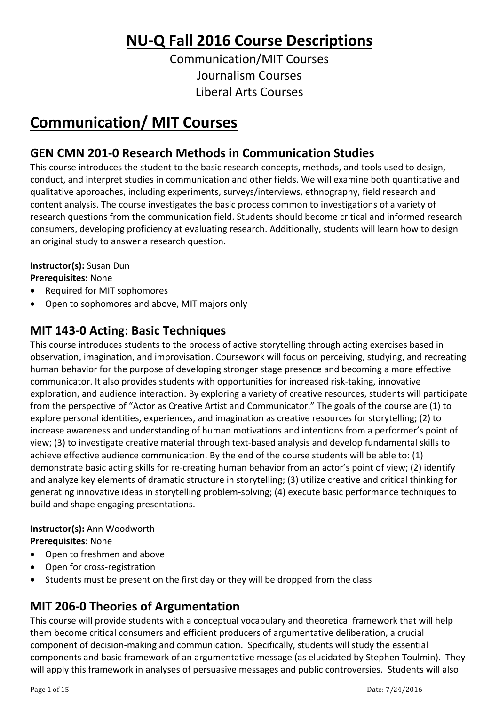# **NU-Q Fall 2016 Course Descriptions**

Communication/MIT Courses Journalism Courses Liberal Arts Courses

# **Communication/ MIT Courses**

## **GEN CMN 201-0 Research Methods in Communication Studies**

This course introduces the student to the basic research concepts, methods, and tools used to design, conduct, and interpret studies in communication and other fields. We will examine both quantitative and qualitative approaches, including experiments, surveys/interviews, ethnography, field research and content analysis. The course investigates the basic process common to investigations of a variety of research questions from the communication field. Students should become critical and informed research consumers, developing proficiency at evaluating research. Additionally, students will learn how to design an original study to answer a research question.

### **Instructor(s):** Susan Dun

**Prerequisites:** None

- Required for MIT sophomores
- Open to sophomores and above, MIT majors only

## **MIT 143-0 Acting: Basic Techniques**

This course introduces students to the process of active storytelling through acting exercises based in observation, imagination, and improvisation. Coursework will focus on perceiving, studying, and recreating human behavior for the purpose of developing stronger stage presence and becoming a more effective communicator. It also provides students with opportunities for increased risk-taking, innovative exploration, and audience interaction. By exploring a variety of creative resources, students will participate from the perspective of "Actor as Creative Artist and Communicator." The goals of the course are (1) to explore personal identities, experiences, and imagination as creative resources for storytelling; (2) to increase awareness and understanding of human motivations and intentions from a performer's point of view; (3) to investigate creative material through text-based analysis and develop fundamental skills to achieve effective audience communication. By the end of the course students will be able to: (1) demonstrate basic acting skills for re-creating human behavior from an actor's point of view; (2) identify and analyze key elements of dramatic structure in storytelling; (3) utilize creative and critical thinking for generating innovative ideas in storytelling problem-solving; (4) execute basic performance techniques to build and shape engaging presentations.

### **Instructor(s):** Ann Woodworth

**Prerequisites**: None

- Open to freshmen and above
- Open for cross-registration
- Students must be present on the first day or they will be dropped from the class

### **MIT 206-0 Theories of Argumentation**

This course will provide students with a conceptual vocabulary and theoretical framework that will help them become critical consumers and efficient producers of argumentative deliberation, a crucial component of decision-making and communication. Specifically, students will study the essential components and basic framework of an argumentative message (as elucidated by Stephen Toulmin). They will apply this framework in analyses of persuasive messages and public controversies. Students will also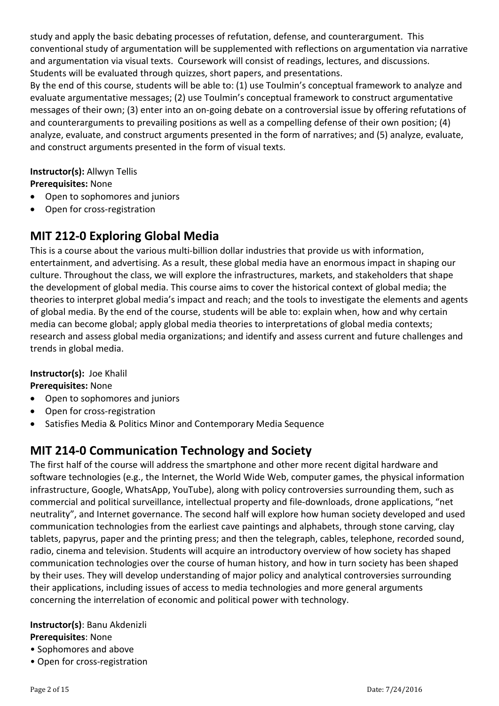study and apply the basic debating processes of refutation, defense, and counterargument. This conventional study of argumentation will be supplemented with reflections on argumentation via narrative and argumentation via visual texts. Coursework will consist of readings, lectures, and discussions. Students will be evaluated through quizzes, short papers, and presentations.

By the end of this course, students will be able to: (1) use Toulmin's conceptual framework to analyze and evaluate argumentative messages; (2) use Toulmin's conceptual framework to construct argumentative messages of their own; (3) enter into an on-going debate on a controversial issue by offering refutations of and counterarguments to prevailing positions as well as a compelling defense of their own position; (4) analyze, evaluate, and construct arguments presented in the form of narratives; and (5) analyze, evaluate, and construct arguments presented in the form of visual texts.

# **Instructor(s):** Allwyn Tellis

#### **Prerequisites:** None

- Open to sophomores and juniors
- Open for cross-registration

### **MIT 212-0 Exploring Global Media**

This is a course about the various multi-billion dollar industries that provide us with information, entertainment, and advertising. As a result, these global media have an enormous impact in shaping our culture. Throughout the class, we will explore the infrastructures, markets, and stakeholders that shape the development of global media. This course aims to cover the historical context of global media; the theories to interpret global media's impact and reach; and the tools to investigate the elements and agents of global media. By the end of the course, students will be able to: explain when, how and why certain media can become global; apply global media theories to interpretations of global media contexts; research and assess global media organizations; and identify and assess current and future challenges and trends in global media.

#### **Instructor(s):** Joe Khalil

#### **Prerequisites:** None

- Open to sophomores and juniors
- Open for cross-registration
- Satisfies Media & Politics Minor and Contemporary Media Sequence

### **MIT 214-0 Communication Technology and Society**

The first half of the course will address the smartphone and other more recent digital hardware and software technologies (e.g., the Internet, the World Wide Web, computer games, the physical information infrastructure, Google, WhatsApp, YouTube), along with policy controversies surrounding them, such as commercial and political surveillance, intellectual property and file-downloads, drone applications, "net neutrality", and Internet governance. The second half will explore how human society developed and used communication technologies from the earliest cave paintings and alphabets, through stone carving, clay tablets, papyrus, paper and the printing press; and then the telegraph, cables, telephone, recorded sound, radio, cinema and television. Students will acquire an introductory overview of how society has shaped communication technologies over the course of human history, and how in turn society has been shaped by their uses. They will develop understanding of major policy and analytical controversies surrounding their applications, including issues of access to media technologies and more general arguments concerning the interrelation of economic and political power with technology.

#### **Instructor(s)**: Banu Akdenizli **Prerequisites**: None

- Sophomores and above
- Open for cross-registration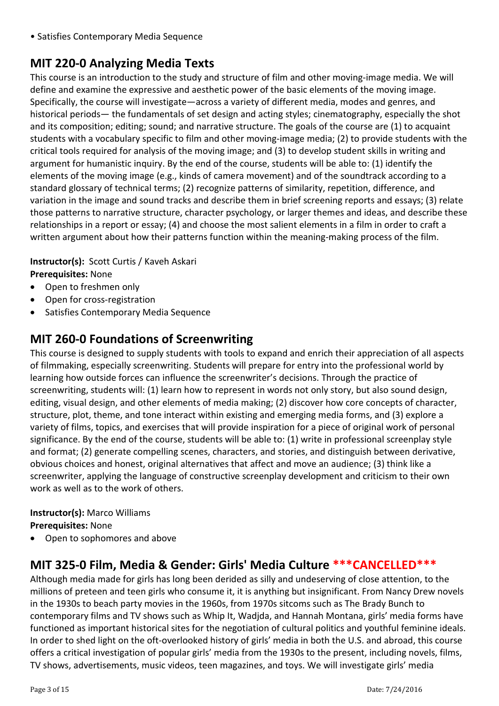• Satisfies Contemporary Media Sequence

# **MIT 220-0 Analyzing Media Texts**

This course is an introduction to the study and structure of film and other moving-image media. We will define and examine the expressive and aesthetic power of the basic elements of the moving image. Specifically, the course will investigate—across a variety of different media, modes and genres, and historical periods— the fundamentals of set design and acting styles; cinematography, especially the shot and its composition; editing; sound; and narrative structure. The goals of the course are (1) to acquaint students with a vocabulary specific to film and other moving-image media; (2) to provide students with the critical tools required for analysis of the moving image; and (3) to develop student skills in writing and argument for humanistic inquiry. By the end of the course, students will be able to: (1) identify the elements of the moving image (e.g., kinds of camera movement) and of the soundtrack according to a standard glossary of technical terms; (2) recognize patterns of similarity, repetition, difference, and variation in the image and sound tracks and describe them in brief screening reports and essays; (3) relate those patterns to narrative structure, character psychology, or larger themes and ideas, and describe these relationships in a report or essay; (4) and choose the most salient elements in a film in order to craft a written argument about how their patterns function within the meaning-making process of the film.

#### **Instructor(s):** Scott Curtis / Kaveh Askari

#### **Prerequisites:** None

- Open to freshmen only
- Open for cross-registration
- Satisfies Contemporary Media Sequence

### **MIT 260-0 Foundations of Screenwriting**

This course is designed to supply students with tools to expand and enrich their appreciation of all aspects of filmmaking, especially screenwriting. Students will prepare for entry into the professional world by learning how outside forces can influence the screenwriter's decisions. Through the practice of screenwriting, students will: (1) learn how to represent in words not only story, but also sound design, editing, visual design, and other elements of media making; (2) discover how core concepts of character, structure, plot, theme, and tone interact within existing and emerging media forms, and (3) explore a variety of films, topics, and exercises that will provide inspiration for a piece of original work of personal significance. By the end of the course, students will be able to: (1) write in professional screenplay style and format; (2) generate compelling scenes, characters, and stories, and distinguish between derivative, obvious choices and honest, original alternatives that affect and move an audience; (3) think like a screenwriter, applying the language of constructive screenplay development and criticism to their own work as well as to the work of others.

#### **Instructor(s):** Marco Williams

**Prerequisites:** None

• Open to sophomores and above

### **MIT 325-0 Film, Media & Gender: Girls' Media Culture \*\*\*CANCELLED\*\*\***

Although media made for girls has long been derided as silly and undeserving of close attention, to the millions of preteen and teen girls who consume it, it is anything but insignificant. From Nancy Drew novels in the 1930s to beach party movies in the 1960s, from 1970s sitcoms such as The Brady Bunch to contemporary films and TV shows such as Whip It, Wadjda, and Hannah Montana, girls' media forms have functioned as important historical sites for the negotiation of cultural politics and youthful feminine ideals. In order to shed light on the oft-overlooked history of girls' media in both the U.S. and abroad, this course offers a critical investigation of popular girls' media from the 1930s to the present, including novels, films, TV shows, advertisements, music videos, teen magazines, and toys. We will investigate girls' media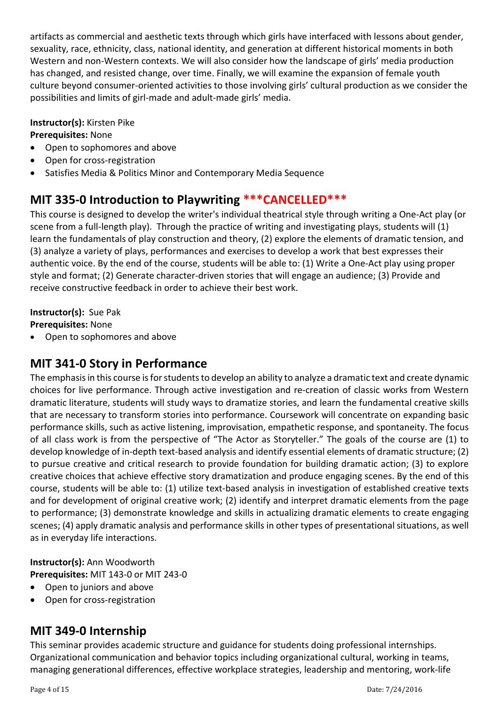artifacts as commercial and aesthetic texts through which girls have interfaced with lessons about gender, sexuality, race, ethnicity, class, national identity, and generation at different historical moments in both Western and non-Western contexts. We will also consider how the landscape of girls' media production has changed, and resisted change, over time. Finally, we will examine the expansion of female youth culture beyond consumer-oriented activities to those involving girls' cultural production as we consider the possibilities and limits of girl-made and adult-made girls' media.

#### **Instructor(s):** Kirsten Pike

#### **Prerequisites:** None

- Open to sophomores and above
- Open for cross-registration
- Satisfies Media & Politics Minor and Contemporary Media Sequence

### **MIT 335-0 Introduction to Playwriting \*\*\*CANCELLED\*\*\***

This course is designed to develop the writer's individual theatrical style through writing a One-Act play (or scene from a full-length play). Through the practice of writing and investigating plays, students will (1) learn the fundamentals of play construction and theory, (2) explore the elements of dramatic tension, and (3) analyze a variety of plays, performances and exercises to develop a work that best expresses their authentic voice. By the end of the course, students will be able to: (1) Write a One-Act play using proper style and format; (2) Generate character-driven stories that will engage an audience; (3) Provide and receive constructive feedback in order to achieve their best work.

#### **Instructor(s):** Sue Pak

**Prerequisites:** None

• Open to sophomores and above

### **MIT 341-0 Story in Performance**

The emphasis in this course is for students to develop an ability to analyze a dramatic text and create dynamic choices for live performance. Through active investigation and re-creation of classic works from Western dramatic literature, students will study ways to dramatize stories, and learn the fundamental creative skills that are necessary to transform stories into performance. Coursework will concentrate on expanding basic performance skills, such as active listening, improvisation, empathetic response, and spontaneity. The focus of all class work is from the perspective of "The Actor as Storyteller." The goals of the course are (1) to develop knowledge of in-depth text-based analysis and identify essential elements of dramatic structure; (2) to pursue creative and critical research to provide foundation for building dramatic action; (3) to explore creative choices that achieve effective story dramatization and produce engaging scenes. By the end of this course, students will be able to: (1) utilize text-based analysis in investigation of established creative texts and for development of original creative work; (2) identify and interpret dramatic elements from the page to performance; (3) demonstrate knowledge and skills in actualizing dramatic elements to create engaging scenes; (4) apply dramatic analysis and performance skills in other types of presentational situations, as well as in everyday life interactions.

#### **Instructor(s):** Ann Woodworth

**Prerequisites:** MIT 143-0 or MIT 243-0

- Open to juniors and above
- Open for cross-registration

### **MIT 349-0 Internship**

This seminar provides academic structure and guidance for students doing professional internships. Organizational communication and behavior topics including organizational cultural, working in teams, managing generational differences, effective workplace strategies, leadership and mentoring, work-life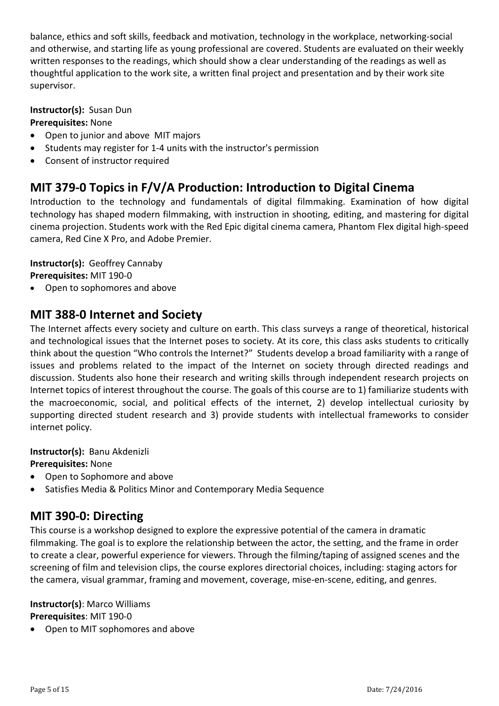balance, ethics and soft skills, feedback and motivation, technology in the workplace, networking-social and otherwise, and starting life as young professional are covered. Students are evaluated on their weekly written responses to the readings, which should show a clear understanding of the readings as well as thoughtful application to the work site, a written final project and presentation and by their work site supervisor.

#### **Instructor(s):** Susan Dun

#### **Prerequisites:** None

- Open to junior and above MIT majors
- Students may register for 1-4 units with the instructor's permission
- Consent of instructor required

### **MIT 379-0 Topics in F/V/A Production: Introduction to Digital Cinema**

Introduction to the technology and fundamentals of digital filmmaking. Examination of how digital technology has shaped modern filmmaking, with instruction in shooting, editing, and mastering for digital cinema projection. Students work with the Red Epic digital cinema camera, Phantom Flex digital high-speed camera, Red Cine X Pro, and Adobe Premier.

#### **Instructor(s):** Geoffrey Cannaby

**Prerequisites:** MIT 190-0

• Open to sophomores and above

### **MIT 388-0 Internet and Society**

The Internet affects every society and culture on earth. This class surveys a range of theoretical, historical and technological issues that the Internet poses to society. At its core, this class asks students to critically think about the question "Who controls the Internet?" Students develop a broad familiarity with a range of issues and problems related to the impact of the Internet on society through directed readings and discussion. Students also hone their research and writing skills through independent research projects on Internet topics of interest throughout the course. The goals of this course are to 1) familiarize students with the macroeconomic, social, and political effects of the internet, 2) develop intellectual curiosity by supporting directed student research and 3) provide students with intellectual frameworks to consider internet policy.

**Instructor(s):** Banu Akdenizli

**Prerequisites:** None

- Open to Sophomore and above
- Satisfies Media & Politics Minor and Contemporary Media Sequence

### **MIT 390-0: Directing**

This course is a workshop designed to explore the expressive potential of the camera in dramatic filmmaking. The goal is to explore the relationship between the actor, the setting, and the frame in order to create a clear, powerful experience for viewers. Through the filming/taping of assigned scenes and the screening of film and television clips, the course explores directorial choices, including: staging actors for the camera, visual grammar, framing and movement, coverage, mise-en-scene, editing, and genres.

**Instructor(s)**: Marco Williams **Prerequisites**: MIT 190-0

• Open to MIT sophomores and above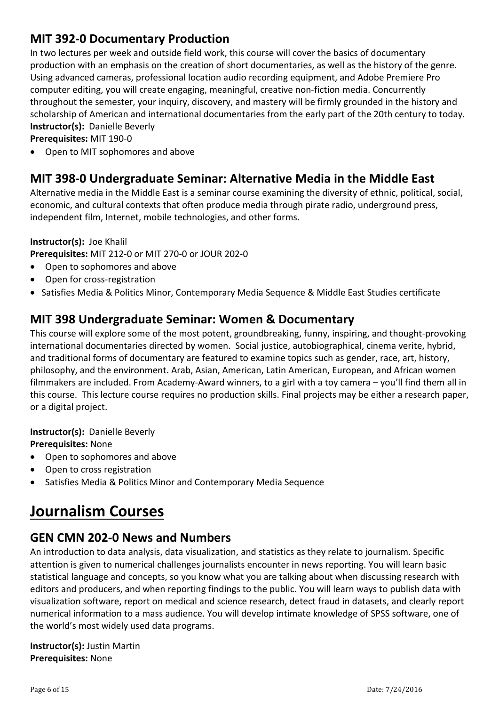### **MIT 392-0 Documentary Production**

In two lectures per week and outside field work, this course will cover the basics of documentary production with an emphasis on the creation of short documentaries, as well as the history of the genre. Using advanced cameras, professional location audio recording equipment, and Adobe Premiere Pro computer editing, you will create engaging, meaningful, creative non-fiction media. Concurrently throughout the semester, your inquiry, discovery, and mastery will be firmly grounded in the history and scholarship of American and international documentaries from the early part of the 20th century to today. **Instructor(s):** Danielle Beverly

**Prerequisites:** MIT 190-0

• Open to MIT sophomores and above

### **MIT 398-0 Undergraduate Seminar: Alternative Media in the Middle East**

Alternative media in the Middle East is a seminar course examining the diversity of ethnic, political, social, economic, and cultural contexts that often produce media through pirate radio, underground press, independent film, Internet, mobile technologies, and other forms.

#### **Instructor(s):** Joe Khalil

**Prerequisites:** MIT 212-0 or MIT 270-0 or JOUR 202-0

- Open to sophomores and above
- Open for cross-registration
- Satisfies Media & Politics Minor, Contemporary Media Sequence & Middle East Studies certificate

### **MIT 398 Undergraduate Seminar: Women & Documentary**

This course will explore some of the most potent, groundbreaking, funny, inspiring, and thought-provoking international documentaries directed by women. Social justice, autobiographical, cinema verite, hybrid, and traditional forms of documentary are featured to examine topics such as gender, race, art, history, philosophy, and the environment. Arab, Asian, American, Latin American, European, and African women filmmakers are included. From Academy-Award winners, to a girl with a toy camera – you'll find them all in this course. This lecture course requires no production skills. Final projects may be either a research paper, or a digital project.

#### **Instructor(s):** Danielle Beverly

#### **Prerequisites:** None

- Open to sophomores and above
- Open to cross registration
- Satisfies Media & Politics Minor and Contemporary Media Sequence

# **Journalism Courses**

### **GEN CMN 202-0 News and Numbers**

An introduction to data analysis, data visualization, and statistics as they relate to journalism. Specific attention is given to numerical challenges journalists encounter in news reporting. You will learn basic statistical language and concepts, so you know what you are talking about when discussing research with editors and producers, and when reporting findings to the public. You will learn ways to publish data with visualization software, report on medical and science research, detect fraud in datasets, and clearly report numerical information to a mass audience. You will develop intimate knowledge of SPSS software, one of the world's most widely used data programs.

**Instructor(s):** Justin Martin **Prerequisites:** None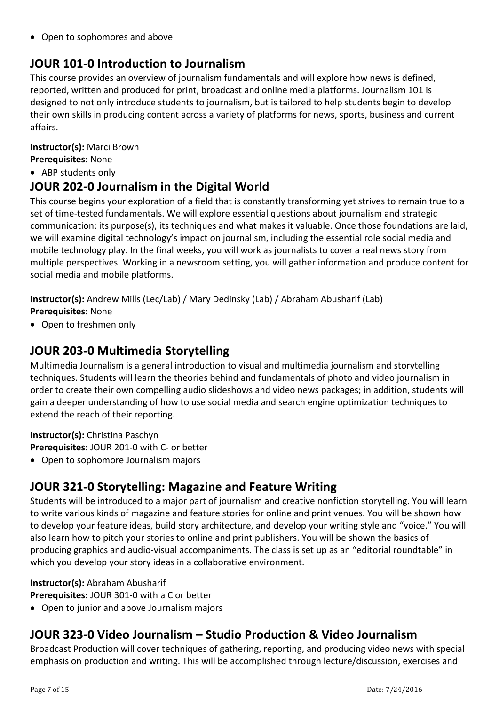• Open to sophomores and above

# **JOUR 101-0 Introduction to Journalism**

This course provides an overview of journalism fundamentals and will explore how news is defined, reported, written and produced for print, broadcast and online media platforms. Journalism 101 is designed to not only introduce students to journalism, but is tailored to help students begin to develop their own skills in producing content across a variety of platforms for news, sports, business and current affairs.

#### **Instructor(s):** Marci Brown

- **Prerequisites:** None
- ABP students only

### **JOUR 202-0 Journalism in the Digital World**

This course begins your exploration of a field that is constantly transforming yet strives to remain true to a set of time-tested fundamentals. We will explore essential questions about journalism and strategic communication: its purpose(s), its techniques and what makes it valuable. Once those foundations are laid, we will examine digital technology's impact on journalism, including the essential role social media and mobile technology play. In the final weeks, you will work as journalists to cover a real news story from multiple perspectives. Working in a newsroom setting, you will gather information and produce content for social media and mobile platforms.

**Instructor(s):** Andrew Mills (Lec/Lab) / Mary Dedinsky (Lab) / Abraham Abusharif (Lab) **Prerequisites:** None

• Open to freshmen only

### **JOUR 203-0 Multimedia Storytelling**

Multimedia Journalism is a general introduction to visual and multimedia journalism and storytelling techniques. Students will learn the theories behind and fundamentals of photo and video journalism in order to create their own compelling audio slideshows and video news packages; in addition, students will gain a deeper understanding of how to use social media and search engine optimization techniques to extend the reach of their reporting.

#### **Instructor(s):** Christina Paschyn

**Prerequisites:** JOUR 201-0 with C- or better

• Open to sophomore Journalism majors

### **JOUR 321-0 Storytelling: Magazine and Feature Writing**

Students will be introduced to a major part of journalism and creative nonfiction storytelling. You will learn to write various kinds of magazine and feature stories for online and print venues. You will be shown how to develop your feature ideas, build story architecture, and develop your writing style and "voice." You will also learn how to pitch your stories to online and print publishers. You will be shown the basics of producing graphics and audio-visual accompaniments. The class is set up as an "editorial roundtable" in which you develop your story ideas in a collaborative environment.

#### **Instructor(s):** Abraham Abusharif

**Prerequisites:** JOUR 301-0 with a C or better

• Open to junior and above Journalism majors

### **JOUR 323-0 Video Journalism – Studio Production & Video Journalism**

Broadcast Production will cover techniques of gathering, reporting, and producing video news with special emphasis on production and writing. This will be accomplished through lecture/discussion, exercises and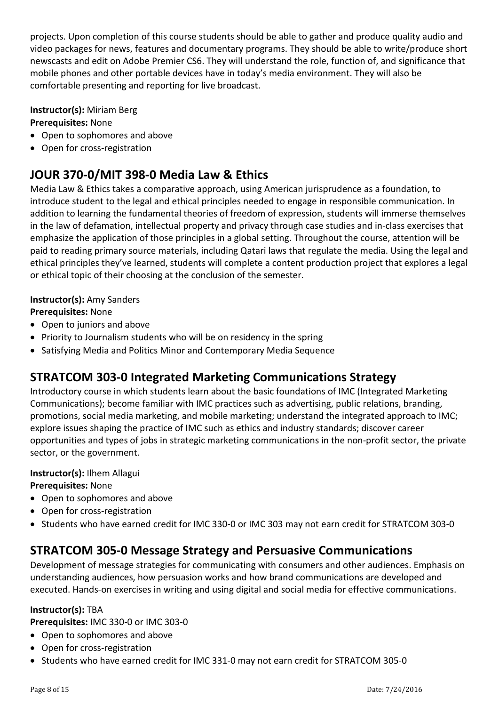projects. Upon completion of this course students should be able to gather and produce quality audio and video packages for news, features and documentary programs. They should be able to write/produce short newscasts and edit on Adobe Premier CS6. They will understand the role, function of, and significance that mobile phones and other portable devices have in today's media environment. They will also be comfortable presenting and reporting for live broadcast.

#### **Instructor(s):** Miriam Berg

#### **Prerequisites:** None

- Open to sophomores and above
- Open for cross-registration

### **JOUR 370-0/MIT 398-0 Media Law & Ethics**

Media Law & Ethics takes a comparative approach, using American jurisprudence as a foundation, to introduce student to the legal and ethical principles needed to engage in responsible communication. In addition to learning the fundamental theories of freedom of expression, students will immerse themselves in the law of defamation, intellectual property and privacy through case studies and in-class exercises that emphasize the application of those principles in a global setting. Throughout the course, attention will be paid to reading primary source materials, including Qatari laws that regulate the media. Using the legal and ethical principles they've learned, students will complete a content production project that explores a legal or ethical topic of their choosing at the conclusion of the semester.

#### **Instructor(s):** Amy Sanders

#### **Prerequisites:** None

- Open to juniors and above
- Priority to Journalism students who will be on residency in the spring
- Satisfying Media and Politics Minor and Contemporary Media Sequence

### **STRATCOM 303-0 Integrated Marketing Communications Strategy**

Introductory course in which students learn about the basic foundations of IMC (Integrated Marketing Communications); become familiar with IMC practices such as advertising, public relations, branding, promotions, social media marketing, and mobile marketing; understand the integrated approach to IMC; explore issues shaping the practice of IMC such as ethics and industry standards; discover career opportunities and types of jobs in strategic marketing communications in the non-profit sector, the private sector, or the government.

#### **Instructor(s):** Ilhem Allagui

**Prerequisites:** None

- Open to sophomores and above
- Open for cross-registration
- Students who have earned credit for IMC 330-0 or IMC 303 may not earn credit for STRATCOM 303-0

### **STRATCOM 305-0 Message Strategy and Persuasive Communications**

Development of message strategies for communicating with consumers and other audiences. Emphasis on understanding audiences, how persuasion works and how brand communications are developed and executed. Hands-on exercises in writing and using digital and social media for effective communications.

#### **Instructor(s):** TBA

**Prerequisites:** IMC 330-0 or IMC 303-0

- Open to sophomores and above
- Open for cross-registration
- Students who have earned credit for IMC 331-0 may not earn credit for STRATCOM 305-0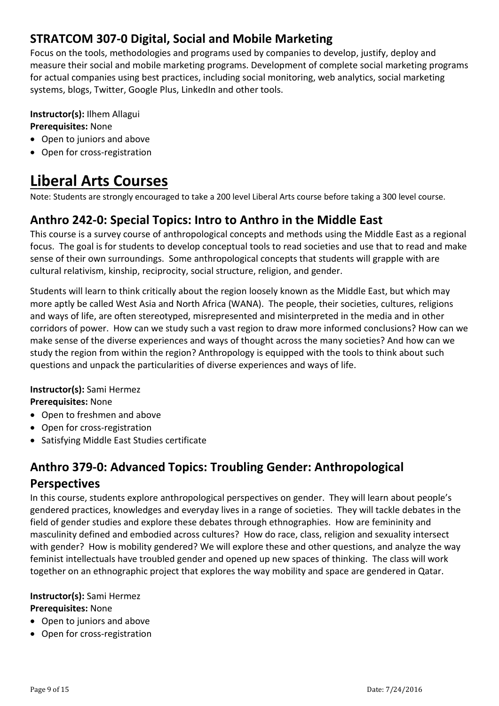### **STRATCOM 307-0 Digital, Social and Mobile Marketing**

Focus on the tools, methodologies and programs used by companies to develop, justify, deploy and measure their social and mobile marketing programs. Development of complete social marketing programs for actual companies using best practices, including social monitoring, web analytics, social marketing systems, blogs, Twitter, Google Plus, LinkedIn and other tools.

#### **Instructor(s):** Ilhem Allagui **Prerequisites:** None

- Open to juniors and above
- Open for cross-registration

# **Liberal Arts Courses**

Note: Students are strongly encouraged to take a 200 level Liberal Arts course before taking a 300 level course.

### **Anthro 242-0: Special Topics: Intro to Anthro in the Middle East**

This course is a survey course of anthropological concepts and methods using the Middle East as a regional focus. The goal is for students to develop conceptual tools to read societies and use that to read and make sense of their own surroundings. Some anthropological concepts that students will grapple with are cultural relativism, kinship, reciprocity, social structure, religion, and gender.

Students will learn to think critically about the region loosely known as the Middle East, but which may more aptly be called West Asia and North Africa (WANA). The people, their societies, cultures, religions and ways of life, are often stereotyped, misrepresented and misinterpreted in the media and in other corridors of power. How can we study such a vast region to draw more informed conclusions? How can we make sense of the diverse experiences and ways of thought across the many societies? And how can we study the region from within the region? Anthropology is equipped with the tools to think about such questions and unpack the particularities of diverse experiences and ways of life.

#### **Instructor(s):** Sami Hermez

**Prerequisites:** None

- Open to freshmen and above
- Open for cross-registration
- Satisfying Middle East Studies certificate

# **Anthro 379-0: Advanced Topics: Troubling Gender: Anthropological**

#### **Perspectives**

In this course, students explore anthropological perspectives on gender. They will learn about people's gendered practices, knowledges and everyday lives in a range of societies. They will tackle debates in the field of gender studies and explore these debates through ethnographies. How are femininity and masculinity defined and embodied across cultures? How do race, class, religion and sexuality intersect with gender? How is mobility gendered? We will explore these and other questions, and analyze the way feminist intellectuals have troubled gender and opened up new spaces of thinking. The class will work together on an ethnographic project that explores the way mobility and space are gendered in Qatar.

#### **Instructor(s):** Sami Hermez

**Prerequisites:** None

- Open to juniors and above
- Open for cross-registration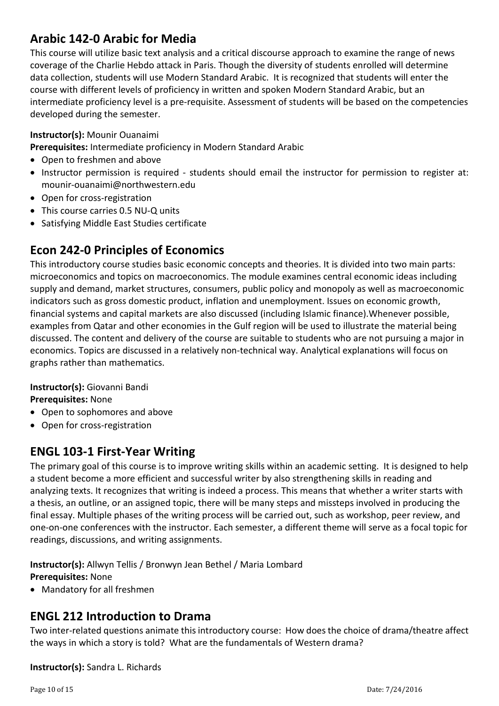### **Arabic 142-0 Arabic for Media**

This course will utilize basic text analysis and a critical discourse approach to examine the range of news coverage of the Charlie Hebdo attack in Paris. Though the diversity of students enrolled will determine data collection, students will use Modern Standard Arabic. It is recognized that students will enter the course with different levels of proficiency in written and spoken Modern Standard Arabic, but an intermediate proficiency level is a pre-requisite. Assessment of students will be based on the competencies developed during the semester.

#### **Instructor(s):** Mounir Ouanaimi

**Prerequisites:** Intermediate proficiency in Modern Standard Arabic

- Open to freshmen and above
- Instructor permission is required students should email the instructor for permission to register at: mounir-ouanaimi@northwestern.edu
- Open for cross-registration
- This course carries 0.5 NU-Q units
- Satisfying Middle East Studies certificate

### **Econ 242-0 Principles of Economics**

This introductory course studies basic economic concepts and theories. It is divided into two main parts: microeconomics and topics on macroeconomics. The module examines central economic ideas including supply and demand, market structures, consumers, public policy and monopoly as well as macroeconomic indicators such as gross domestic product, inflation and unemployment. Issues on economic growth, financial systems and capital markets are also discussed (including Islamic finance).Whenever possible, examples from Qatar and other economies in the Gulf region will be used to illustrate the material being discussed. The content and delivery of the course are suitable to students who are not pursuing a major in economics. Topics are discussed in a relatively non-technical way. Analytical explanations will focus on graphs rather than mathematics.

**Instructor(s):** Giovanni Bandi

**Prerequisites:** None

- Open to sophomores and above
- Open for cross-registration

### **ENGL 103-1 First-Year Writing**

The primary goal of this course is to improve writing skills within an academic setting. It is designed to help a student become a more efficient and successful writer by also strengthening skills in reading and analyzing texts. It recognizes that writing is indeed a process. This means that whether a writer starts with a thesis, an outline, or an assigned topic, there will be many steps and missteps involved in producing the final essay. Multiple phases of the writing process will be carried out, such as workshop, peer review, and one-on-one conferences with the instructor. Each semester, a different theme will serve as a focal topic for readings, discussions, and writing assignments.

**Instructor(s):** Allwyn Tellis / Bronwyn Jean Bethel / Maria Lombard **Prerequisites:** None

• Mandatory for all freshmen

### **ENGL 212 Introduction to Drama**

Two inter-related questions animate this introductory course: How does the choice of drama/theatre affect the ways in which a story is told? What are the fundamentals of Western drama?

**Instructor(s):** Sandra L. Richards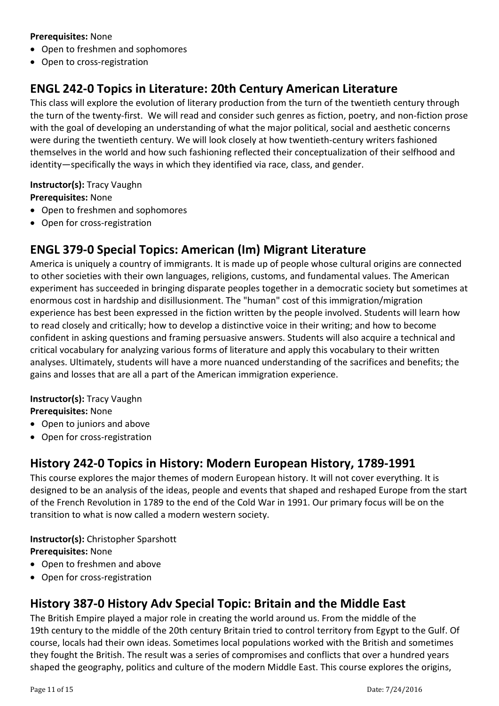#### **Prerequisites:** None

- Open to freshmen and sophomores
- Open to cross-registration

# **ENGL 242-0 Topics in Literature: 20th Century American Literature**

This class will explore the evolution of literary production from the turn of the twentieth century through the turn of the twenty-first. We will read and consider such genres as fiction, poetry, and non-fiction prose with the goal of developing an understanding of what the major political, social and aesthetic concerns were during the twentieth century. We will look closely at how twentieth-century writers fashioned themselves in the world and how such fashioning reflected their conceptualization of their selfhood and identity—specifically the ways in which they identified via race, class, and gender.

### **Instructor(s):** Tracy Vaughn

**Prerequisites:** None

- Open to freshmen and sophomores
- Open for cross-registration

# **ENGL 379-0 Special Topics: American (Im) Migrant Literature**

America is uniquely a country of immigrants. It is made up of people whose cultural origins are connected to other societies with their own languages, religions, customs, and fundamental values. The American experiment has succeeded in bringing disparate peoples together in a democratic society but sometimes at enormous cost in hardship and disillusionment. The "human" cost of this immigration/migration experience has best been expressed in the fiction written by the people involved. Students will learn how to read closely and critically; how to develop a distinctive voice in their writing; and how to become confident in asking questions and framing persuasive answers. Students will also acquire a technical and critical vocabulary for analyzing various forms of literature and apply this vocabulary to their written analyses. Ultimately, students will have a more nuanced understanding of the sacrifices and benefits; the gains and losses that are all a part of the American immigration experience.

#### **Instructor(s):** Tracy Vaughn **Prerequisites:** None

- Open to juniors and above
- Open for cross-registration

# **History 242-0 Topics in History: Modern European History, 1789-1991**

This course explores the major themes of modern European history. It will not cover everything. It is designed to be an analysis of the ideas, people and events that shaped and reshaped Europe from the start of the French Revolution in 1789 to the end of the Cold War in 1991. Our primary focus will be on the transition to what is now called a modern western society.

#### **Instructor(s):** Christopher Sparshott **Prerequisites:** None

- Open to freshmen and above
- Open for cross-registration

# **History 387-0 History Adv Special Topic: Britain and the Middle East**

The British Empire played a major role in creating the world around us. From the middle of the 19th century to the middle of the 20th century Britain tried to control territory from Egypt to the Gulf. Of course, locals had their own ideas. Sometimes local populations worked with the British and sometimes they fought the British. The result was a series of compromises and conflicts that over a hundred years shaped the geography, politics and culture of the modern Middle East. This course explores the origins,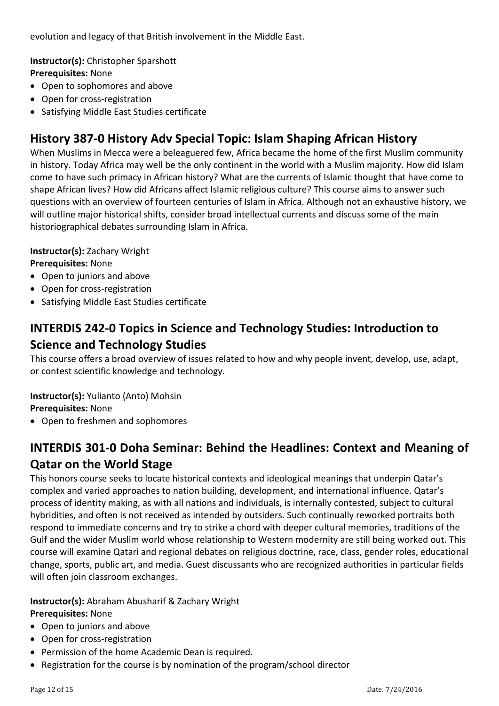evolution and legacy of that British involvement in the Middle East.

**Instructor(s):** Christopher Sparshott

**Prerequisites:** None

- Open to sophomores and above
- Open for cross-registration
- Satisfying Middle East Studies certificate

## **History 387-0 History Adv Special Topic: Islam Shaping African History**

When Muslims in Mecca were a beleaguered few, Africa became the home of the first Muslim community in history. Today Africa may well be the only continent in the world with a Muslim majority. How did Islam come to have such primacy in African history? What are the currents of Islamic thought that have come to shape African lives? How did Africans affect Islamic religious culture? This course aims to answer such questions with an overview of fourteen centuries of Islam in Africa. Although not an exhaustive history, we will outline major historical shifts, consider broad intellectual currents and discuss some of the main historiographical debates surrounding Islam in Africa.

**Instructor(s):** Zachary Wright

- **Prerequisites:** None
- Open to juniors and above
- Open for cross-registration
- Satisfying Middle East Studies certificate

# **INTERDIS 242-0 Topics in Science and Technology Studies: Introduction to Science and Technology Studies**

This course offers a broad overview of issues related to how and why people invent, develop, use, adapt, or contest scientific knowledge and technology.

**Instructor(s):** Yulianto (Anto) Mohsin

**Prerequisites:** None

• Open to freshmen and sophomores

# **INTERDIS 301-0 Doha Seminar: Behind the Headlines: Context and Meaning of Qatar on the World Stage**

This honors course seeks to locate historical contexts and ideological meanings that underpin Qatar's complex and varied approaches to nation building, development, and international influence. Qatar's process of identity making, as with all nations and individuals, is internally contested, subject to cultural hybridities, and often is not received as intended by outsiders. Such continually reworked portraits both respond to immediate concerns and try to strike a chord with deeper cultural memories, traditions of the Gulf and the wider Muslim world whose relationship to Western modernity are still being worked out. This course will examine Qatari and regional debates on religious doctrine, race, class, gender roles, educational change, sports, public art, and media. Guest discussants who are recognized authorities in particular fields will often join classroom exchanges.

#### **Instructor(s):** Abraham Abusharif & Zachary Wright

#### **Prerequisites:** None

- Open to juniors and above
- Open for cross-registration
- Permission of the home Academic Dean is required.
- Registration for the course is by nomination of the program/school director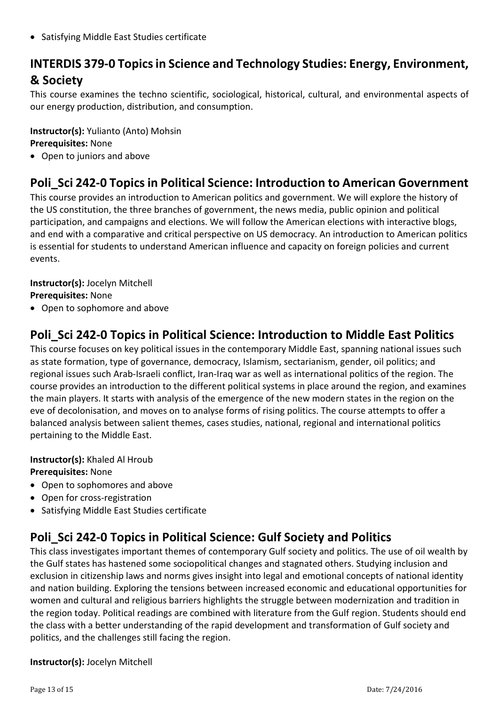• Satisfying Middle East Studies certificate

# **INTERDIS 379-0 Topics in Science and Technology Studies: Energy, Environment, & Society**

This course examines the techno scientific, sociological, historical, cultural, and environmental aspects of our energy production, distribution, and consumption.

**Instructor(s):** Yulianto (Anto) Mohsin **Prerequisites:** None

• Open to juniors and above

### **Poli\_Sci 242-0 Topics in Political Science: Introduction to American Government**

This course provides an introduction to American politics and government. We will explore the history of the US constitution, the three branches of government, the news media, public opinion and political participation, and campaigns and elections. We will follow the American elections with interactive blogs, and end with a comparative and critical perspective on US democracy. An introduction to American politics is essential for students to understand American influence and capacity on foreign policies and current events.

#### **Instructor(s):** Jocelyn Mitchell **Prerequisites:** None

• Open to sophomore and above

### **Poli\_Sci 242-0 Topics in Political Science: Introduction to Middle East Politics**

This course focuses on key political issues in the contemporary Middle East, spanning national issues such as state formation, type of governance, democracy, Islamism, sectarianism, gender, oil politics; and regional issues such Arab-Israeli conflict, Iran-Iraq war as well as international politics of the region. The course provides an introduction to the different political systems in place around the region, and examines the main players. It starts with analysis of the emergence of the new modern states in the region on the eve of decolonisation, and moves on to analyse forms of rising politics. The course attempts to offer a balanced analysis between salient themes, cases studies, national, regional and international politics pertaining to the Middle East.

**Instructor(s):** Khaled Al Hroub **Prerequisites:** None

- Open to sophomores and above
- Open for cross-registration
- Satisfying Middle East Studies certificate

### **Poli\_Sci 242-0 Topics in Political Science: Gulf Society and Politics**

This class investigates important themes of contemporary Gulf society and politics. The use of oil wealth by the Gulf states has hastened some sociopolitical changes and stagnated others. Studying inclusion and exclusion in citizenship laws and norms gives insight into legal and emotional concepts of national identity and nation building. Exploring the tensions between increased economic and educational opportunities for women and cultural and religious barriers highlights the struggle between modernization and tradition in the region today. Political readings are combined with literature from the Gulf region. Students should end the class with a better understanding of the rapid development and transformation of Gulf society and politics, and the challenges still facing the region.

#### **Instructor(s):** Jocelyn Mitchell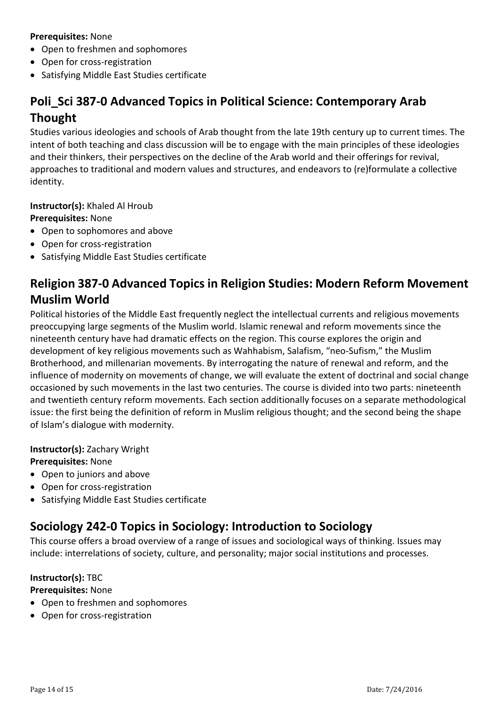#### **Prerequisites:** None

- Open to freshmen and sophomores
- Open for cross-registration
- Satisfying Middle East Studies certificate

# **Poli\_Sci 387-0 Advanced Topics in Political Science: Contemporary Arab Thought**

Studies various ideologies and schools of Arab thought from the late 19th century up to current times. The intent of both teaching and class discussion will be to engage with the main principles of these ideologies and their thinkers, their perspectives on the decline of the Arab world and their offerings for revival, approaches to traditional and modern values and structures, and endeavors to (re)formulate a collective identity.

## **Instructor(s):** Khaled Al Hroub

**Prerequisites:** None

- Open to sophomores and above
- Open for cross-registration
- Satisfying Middle East Studies certificate

### **Religion 387-0 Advanced Topics in Religion Studies: Modern Reform Movement Muslim World**

Political histories of the Middle East frequently neglect the intellectual currents and religious movements preoccupying large segments of the Muslim world. Islamic renewal and reform movements since the nineteenth century have had dramatic effects on the region. This course explores the origin and development of key religious movements such as Wahhabism, Salafism, "neo-Sufism," the Muslim Brotherhood, and millenarian movements. By interrogating the nature of renewal and reform, and the influence of modernity on movements of change, we will evaluate the extent of doctrinal and social change occasioned by such movements in the last two centuries. The course is divided into two parts: nineteenth and twentieth century reform movements. Each section additionally focuses on a separate methodological issue: the first being the definition of reform in Muslim religious thought; and the second being the shape of Islam's dialogue with modernity.

**Instructor(s):** Zachary Wright **Prerequisites:** None

- Open to juniors and above
- Open for cross-registration
- Satisfying Middle East Studies certificate

### **Sociology 242-0 Topics in Sociology: Introduction to Sociology**

This course offers a broad overview of a range of issues and sociological ways of thinking. Issues may include: interrelations of society, culture, and personality; major social institutions and processes.

#### **Instructor(s):** TBC

**Prerequisites:** None

- Open to freshmen and sophomores
- Open for cross-registration